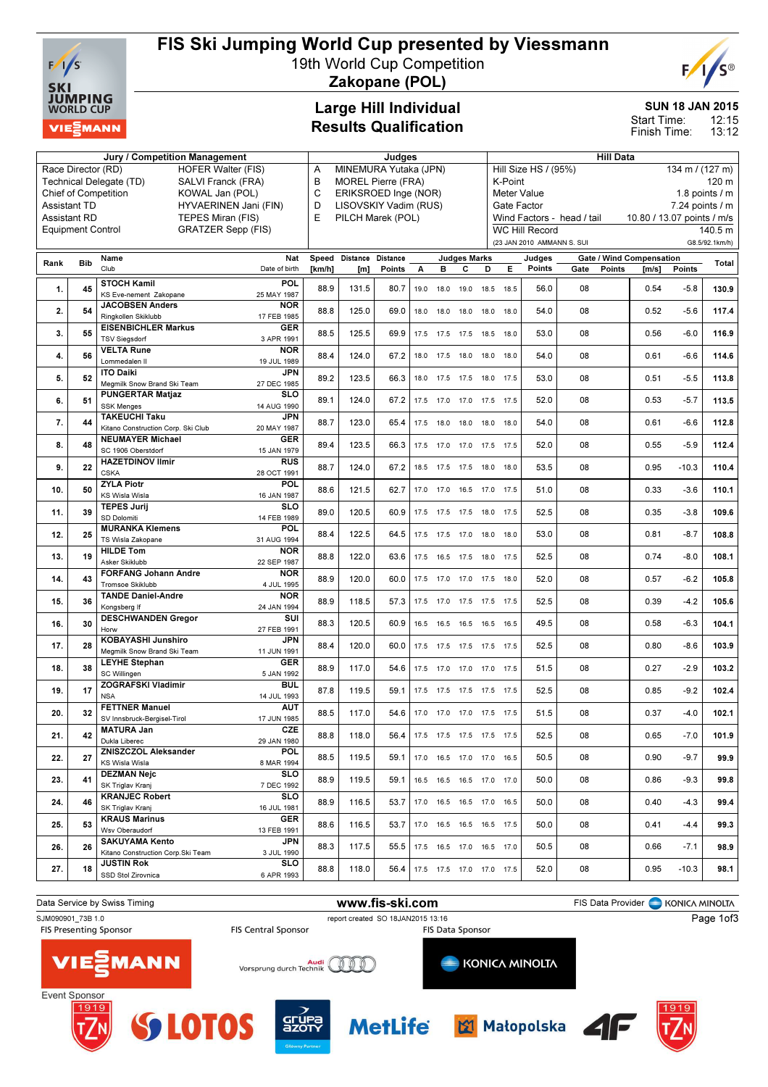

# FIS Ski Jumping World Cup presented by Viessmann

19th World Cup Competition



Zakopane (POL)

### Large Hill Individual Results Qualification

#### SUN 18 JAN 2015

12:15 13:12 Start Time: Finish Time:

|                                               |                          | <b>Jury / Competition Management</b>                   |                            |        |                                | Judges                |      |      |                     |                                         |                               |                            |                            | <b>Hill Data</b> |                                 |                 |                           |  |
|-----------------------------------------------|--------------------------|--------------------------------------------------------|----------------------------|--------|--------------------------------|-----------------------|------|------|---------------------|-----------------------------------------|-------------------------------|----------------------------|----------------------------|------------------|---------------------------------|-----------------|---------------------------|--|
|                                               | Race Director (RD)       | <b>HOFER Walter (FIS)</b>                              | MINEMURA Yutaka (JPN)<br>Α |        |                                |                       |      |      |                     | 134 m / (127 m)<br>Hill Size HS / (95%) |                               |                            |                            |                  |                                 |                 |                           |  |
| Technical Delegate (TD)<br>SALVI Franck (FRA) |                          |                                                        |                            |        | В<br><b>MOREL Pierre (FRA)</b> |                       |      |      |                     |                                         |                               | K-Point<br>120 m           |                            |                  |                                 |                 |                           |  |
|                                               |                          | <b>Chief of Competition</b><br>KOWAL Jan (POL)         | C<br>ERIKSROED Inge (NOR)  |        |                                |                       |      |      |                     |                                         | 1.8 points / m<br>Meter Value |                            |                            |                  |                                 |                 |                           |  |
|                                               | <b>Assistant TD</b>      | HYVAERINEN Jani (FIN)                                  |                            | D      |                                | LISOVSKIY Vadim (RUS) |      |      |                     |                                         |                               | Gate Factor                |                            |                  |                                 | 7.24 points / m |                           |  |
|                                               | <b>Assistant RD</b>      | TEPES Miran (FIS)                                      |                            | E      |                                | PILCH Marek (POL)     |      |      |                     |                                         |                               | <b>WC Hill Record</b>      | Wind Factors - head / tail |                  | 10.80 / 13.07 points / m/s      |                 |                           |  |
|                                               | <b>Equipment Control</b> | <b>GRATZER Sepp (FIS)</b>                              |                            |        |                                |                       |      |      |                     |                                         |                               | (23 JAN 2010 AMMANN S. SUI |                            |                  |                                 |                 | 140.5 m<br>G8.5/92.1km/h) |  |
|                                               |                          | Name                                                   | <b>Nat</b>                 | Speed  | Distance                       | <b>Distance</b>       |      |      | <b>Judges Marks</b> |                                         |                               |                            |                            |                  | <b>Gate / Wind Compensation</b> |                 |                           |  |
| Rank                                          | <b>Bib</b>               | Club                                                   | Date of birth              | [km/h] | [m]                            | Points                | А    | в    | С                   | D                                       | Е                             | Judges<br>Points           | Gate                       | <b>Points</b>    | $\mathsf{Im/s}$                 | <b>Points</b>   | Total                     |  |
|                                               |                          | <b>STOCH Kamil</b>                                     | POL                        |        |                                |                       |      |      |                     |                                         |                               |                            |                            |                  |                                 |                 |                           |  |
| 1.                                            | 45                       | KS Eve-nement Zakopane                                 | 25 MAY 1987                | 88.9   | 131.5                          | 80.7                  | 19.0 | 18.0 | 19.0 18.5           |                                         | 18.5                          | 56.0                       | 08                         |                  | 0.54                            | $-5.8$          | 130.9                     |  |
| 2.                                            | 54                       | <b>JACOBSEN Anders</b><br>Ringkollen Skiklubb          | <b>NOR</b><br>17 FEB 1985  | 88.8   | 125.0                          | 69.0                  | 18.0 |      | 18.0 18.0 18.0      |                                         | 18.0                          | 54.0                       | 08                         |                  | 0.52                            | $-5.6$          | 117.4                     |  |
|                                               |                          | <b>EISENBICHLER Markus</b>                             | <b>GER</b>                 |        |                                |                       |      |      |                     |                                         |                               |                            |                            |                  |                                 |                 |                           |  |
| 3.                                            | 55                       | <b>TSV Siegsdorf</b>                                   | 3 APR 1991                 | 88.5   | 125.5                          | 69.9                  | 17.5 |      | 17.5 17.5 18.5      |                                         | 18.0                          | 53.0                       | 08                         |                  | 0.56                            | $-6.0$          | 116.9                     |  |
| 4.                                            | 56                       | <b>VELTA Rune</b>                                      | <b>NOR</b>                 | 88.4   | 124.0                          | 67.2                  |      |      |                     | 18.0 17.5 18.0 18.0 18.0                |                               | 54.0                       | 08                         |                  | 0.61                            | $-6.6$          | 114.6                     |  |
|                                               |                          | Lommedalen II<br><b>ITO Daiki</b>                      | 19 JUL 1989<br><b>JPN</b>  |        |                                |                       |      |      |                     |                                         |                               |                            |                            |                  |                                 |                 |                           |  |
| 5.                                            | 52                       | Megmilk Snow Brand Ski Team                            | 27 DEC 1985                | 89.2   | 123.5                          | 66.3                  |      |      |                     | 18.0 17.5 17.5 18.0 17.5                |                               | 53.0                       | 08                         |                  | 0.51                            | $-5.5$          | 113.8                     |  |
| 6.                                            | 51                       | <b>PUNGERTAR Matjaz</b>                                | <b>SLO</b>                 | 89.1   | 124.0                          | 67.2                  |      |      |                     | 17.5 17.0 17.0 17.5 17.5                |                               | 52.0                       | 08                         |                  | 0.53                            | $-5.7$          | 113.5                     |  |
|                                               |                          | <b>SSK Menges</b><br><b>TAKEUCHI Taku</b>              | 14 AUG 1990                |        |                                |                       |      |      |                     |                                         |                               |                            |                            |                  |                                 |                 |                           |  |
| 7.                                            | 44                       | Kitano Construction Corp. Ski Club                     | <b>JPN</b><br>20 MAY 1987  | 88.7   | 123.0                          | 65.4                  | 17.5 |      | 18.0 18.0 18.0      |                                         | 18.0                          | 54.0                       | 08                         |                  | 0.61                            | $-6.6$          | 112.8                     |  |
| 8.                                            | 48                       | <b>NEUMAYER Michael</b>                                | <b>GER</b>                 | 89.4   | 123.5                          | 66.3                  |      |      |                     | 17.5 17.0 17.0 17.5 17.5                |                               | 52.0                       | 08                         |                  | 0.55                            | $-5.9$          | 112.4                     |  |
|                                               |                          | SC 1906 Oberstdorf                                     | 15 JAN 1979                |        |                                |                       |      |      |                     |                                         |                               |                            |                            |                  |                                 |                 |                           |  |
| 9.                                            | 22                       | <b>HAZETDINOV IImir</b><br><b>CSKA</b>                 | <b>RUS</b><br>28 OCT 1991  | 88.7   | 124.0                          | 67.2                  |      |      | 18.5 17.5 17.5 18.0 |                                         | 18.0                          | 53.5                       | 08                         |                  | 0.95                            | $-10.3$         | 110.4                     |  |
|                                               |                          | <b>ZYLA Piotr</b>                                      | POL                        |        |                                |                       |      |      |                     |                                         |                               |                            |                            |                  |                                 |                 |                           |  |
| 10.                                           | 50                       | <b>KS Wisla Wisla</b>                                  | 16 JAN 1987                | 88.6   | 121.5                          | 62.7                  |      |      |                     | 17.0 17.0 16.5 17.0 17.5                |                               | 51.0                       | 08                         |                  | 0.33                            | $-3.6$          | 110.1                     |  |
| 11.                                           | 39                       | <b>TEPES Jurij</b>                                     | <b>SLO</b>                 | 89.0   | 120.5                          | 60.9                  | 17.5 |      | 17.5 17.5 18.0      |                                         | 17.5                          | 52.5                       | 08                         |                  | 0.35                            | $-3.8$          | 109.6                     |  |
|                                               |                          | SD Dolomiti<br><b>MURANKA Klemens</b>                  | 14 FEB 1989<br>POL         |        |                                |                       |      |      |                     |                                         |                               |                            |                            |                  |                                 |                 |                           |  |
| 12.                                           | 25                       | TS Wisla Zakopane                                      | 31 AUG 1994                | 88.4   | 122.5                          | 64.5                  |      |      | 17.5 17.5 17.0 18.0 |                                         | 18.0                          | 53.0                       | 08                         |                  | 0.81                            | $-8.7$          | 108.8                     |  |
| 13.                                           | 19                       | <b>HILDE Tom</b>                                       | <b>NOR</b>                 | 88.8   | 122.0                          | 63.6                  |      |      |                     | 17.5  16.5  17.5  18.0  17.5            |                               | 52.5                       | 08                         |                  | 0.74                            | $-8.0$          | 108.1                     |  |
|                                               |                          | Asker Skiklubb                                         | 22 SEP 1987                |        |                                |                       |      |      |                     |                                         |                               |                            |                            |                  |                                 |                 |                           |  |
| 14.                                           | 43                       | <b>FORFANG Johann Andre</b><br><b>Tromsoe Skiklubb</b> | <b>NOR</b><br>4 JUL 1995   | 88.9   | 120.0                          | 60.0                  |      |      |                     | 17.5 17.0 17.0 17.5 18.0                |                               | 52.0                       | 08                         |                  | 0.57                            | $-6.2$          | 105.8                     |  |
| 15.                                           | 36                       | <b>TANDE Daniel-Andre</b>                              | <b>NOR</b>                 | 88.9   | 118.5                          | 57.3                  |      |      |                     | 17.5 17.0 17.5 17.5 17.5                |                               | 52.5                       | 08                         |                  | 0.39                            | -4.2            | 105.6                     |  |
|                                               |                          | Kongsberg If                                           | 24 JAN 1994                |        |                                |                       |      |      |                     |                                         |                               |                            |                            |                  |                                 |                 |                           |  |
| 16.                                           | 30                       | <b>DESCHWANDEN Gregor</b><br>Horw                      | SUI<br>27 FEB 1991         | 88.3   | 120.5                          | 60.9                  |      |      |                     | 16.5 16.5 16.5 16.5 16.5                |                               | 49.5                       | 08                         |                  | 0.58                            | $-6.3$          | 104.1                     |  |
|                                               |                          | KOBAYASHI Junshiro                                     | <b>JPN</b>                 |        |                                |                       |      |      |                     |                                         |                               |                            |                            |                  |                                 |                 |                           |  |
| 17.                                           | 28                       | Megmilk Snow Brand Ski Team                            | 11 JUN 1991                | 88.4   | 120.0                          | 60.0                  |      |      |                     | 17.5 17.5 17.5 17.5 17.5                |                               | 52.5                       | 08                         |                  | 0.80                            | $-8.6$          | 103.9                     |  |
| 18.                                           | 38                       | <b>LEYHE Stephan</b>                                   | <b>GER</b>                 | 88.9   | 117.0                          | 54.6                  |      |      |                     | 17.5 17.0 17.0 17.0 17.5                |                               | 51.5                       | 08                         |                  | 0.27                            | $-2.9$          | 103.2                     |  |
|                                               |                          | SC Willingen<br><b>ZOGRAFSKI Vladimir</b>              | 5 JAN 1992<br><b>BUL</b>   |        |                                |                       |      |      |                     |                                         |                               |                            |                            |                  |                                 |                 |                           |  |
| 19.                                           | 17                       | <b>NSA</b>                                             | 14 JUL 1993                | 87.8   | 119.5                          | 59.1                  |      |      |                     | 17.5 17.5 17.5 17.5 17.5                |                               | 52.5                       | 08                         |                  | 0.85                            | $-9.2$          | 102.4                     |  |
| 20.                                           | 32                       | <b>FETTNER Manuel</b>                                  | <b>AUT</b>                 | 88.5   | 117.0                          | 54.6                  |      |      |                     | 17.0 17.0 17.0 17.5 17.5                |                               | 51.5                       | 08                         |                  | 0.37                            | $-4.0$          | 102.1                     |  |
|                                               |                          | SV Innsbruck-Bergisel-Tirol<br><b>MATURA Jan</b>       | 17 JUN 1985<br><b>CZE</b>  |        |                                |                       |      |      |                     |                                         |                               |                            |                            |                  |                                 |                 |                           |  |
| 21.                                           | 42                       | Dukla Liberec                                          | 29 JAN 1980                | 88.8   | 118.0                          | 56.4                  |      |      |                     | 17.5 17.5 17.5 17.5 17.5                |                               | 52.5                       | 08                         |                  | 0.65                            | $-7.0$          | 101.9                     |  |
| 22.                                           | 27                       | ZNISZCZOL Aleksander                                   | <b>POL</b>                 | 88.5   | 119.5                          | 59.1                  |      |      |                     | 17.0  16.5  17.0  17.0  16.5            |                               | 50.5                       | 08                         |                  | 0.90                            | $-9.7$          | 99.9                      |  |
|                                               |                          | KS Wisla Wisla                                         | 8 MAR 1994                 |        |                                |                       |      |      |                     |                                         |                               |                            |                            |                  |                                 |                 |                           |  |
| 23.                                           | 41                       | <b>DEZMAN Nejc</b><br>SK Triglav Kranj                 | <b>SLO</b><br>7 DEC 1992   | 88.9   | 119.5                          | 59.1                  |      |      |                     | 16.5 16.5 16.5 17.0 17.0                |                               | 50.0                       | 08                         |                  | 0.86                            | -9.3            | 99.8                      |  |
|                                               |                          | <b>KRANJEC Robert</b>                                  | <b>SLO</b>                 |        |                                |                       |      |      |                     |                                         |                               |                            |                            |                  |                                 |                 |                           |  |
| 24.                                           | 46                       | SK Triglav Kranj                                       | 16 JUL 1981                | 88.9   | 116.5                          | 53.7                  |      |      |                     | 17.0  16.5  16.5  17.0  16.5            |                               | 50.0                       | 08                         |                  | 0.40                            | -4.3            | 99.4                      |  |
| 25.                                           | 53                       | <b>KRAUS Marinus</b><br>Wsv Oberaudorf                 | GER                        | 88.6   | 116.5                          | 53.7                  |      |      |                     | 17.0  16.5  16.5  16.5  17.5            |                               | 50.0                       | 08                         |                  | 0.41                            | $-4.4$          | 99.3                      |  |
|                                               |                          | <b>SAKUYAMA Kento</b>                                  | 13 FEB 1991<br>JPN         |        |                                |                       |      |      |                     |                                         |                               |                            |                            |                  |                                 |                 |                           |  |
| 26.                                           | 26                       | Kitano Construction Corp. Ski Team                     | 3 JUL 1990                 | 88.3   | 117.5                          | 55.5                  |      |      |                     | 17.5  16.5  17.0  16.5  17.0            |                               | 50.5                       | 08                         |                  | 0.66                            | $-7.1$          | 98.9                      |  |
| 27.                                           | 18                       | <b>JUSTIN Rok</b>                                      | <b>SLO</b>                 | 88.8   | 118.0                          | 56.4                  |      |      |                     | 17.5 17.5 17.0 17.0 17.5                |                               | 52.0                       | 08                         |                  | 0.95                            | $-10.3$         | 98.1                      |  |
|                                               |                          | SSD Stol Zirovnica                                     | 6 APR 1993                 |        |                                |                       |      |      |                     |                                         |                               |                            |                            |                  |                                 |                 |                           |  |

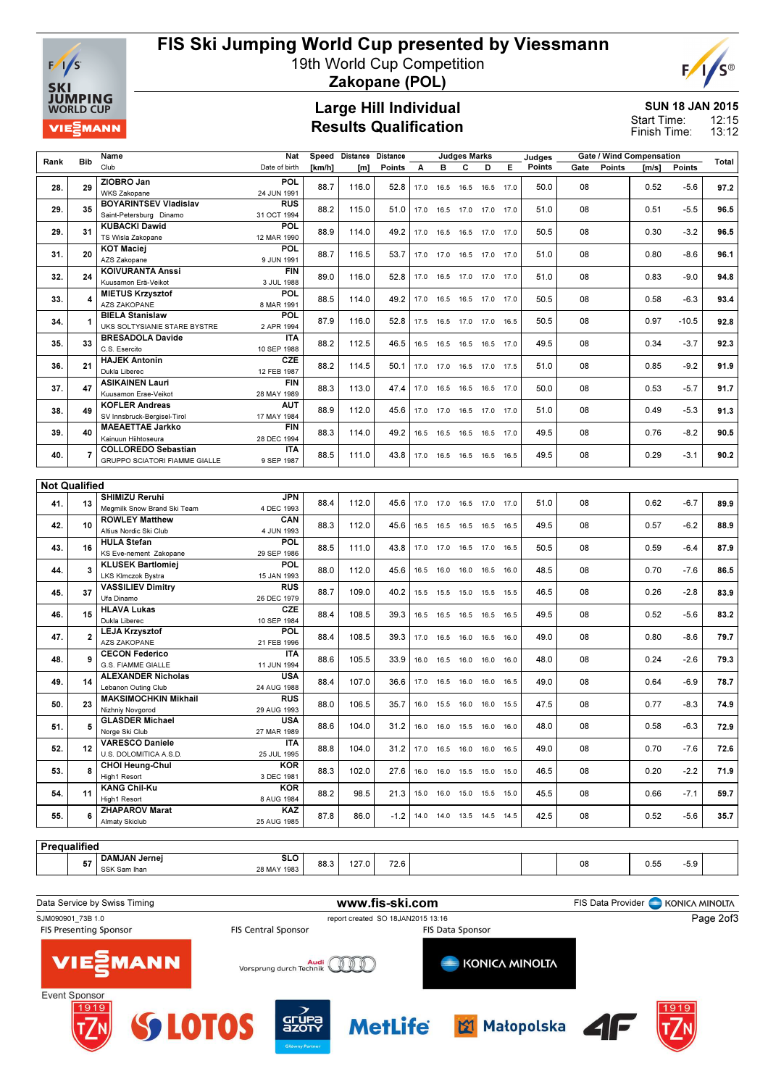

## FIS Ski Jumping World Cup presented by Viessmann

19th World Cup Competition

# $F/1/S^{\circ}$

Zakopane (POL)

## Large Hill Individual Results Qualification

## SUN 18 JAN 2015

12:15 13:12 Start Time: Finish Time:

| Rank                                                                      | <b>Bib</b>     | Name<br>Club                                     | Nat                        | Speed  | Distance | <b>Distance</b> |      |                  | <b>Judges Marks</b><br>c     |           | Е    | Judges<br>Points      |      |                   | <b>Gate / Wind Compensation</b> |                | Total |
|---------------------------------------------------------------------------|----------------|--------------------------------------------------|----------------------------|--------|----------|-----------------|------|------------------|------------------------------|-----------|------|-----------------------|------|-------------------|---------------------------------|----------------|-------|
|                                                                           |                | ZIOBRO Jan                                       | Date of birth<br>POL       | [km/h] | [m]      | Points          | А    | в                |                              | D         |      |                       | Gate | <b>Points</b>     | [m/s]                           | Points         |       |
| 28.                                                                       | 29             | <b>WKS Zakopane</b>                              | 24 JUN 1991                | 88.7   | 116.0    | 52.8            |      |                  | 17.0  16.5  16.5  16.5  17.0 |           |      | 50.0                  | 08   |                   | 0.52                            | $-5.6$         | 97.2  |
| 29.                                                                       | 35             | <b>BOYARINTSEV Vladislav</b>                     | <b>RUS</b>                 | 88.2   | 115.0    | 51.0            |      |                  | 17.0  16.5  17.0  17.0  17.0 |           |      | 51.0                  | 08   |                   | 0.51                            | $-5.5$         | 96.5  |
|                                                                           |                | Saint-Petersburg Dinamo                          | 31 OCT 1994                |        |          |                 |      |                  |                              |           |      |                       |      |                   |                                 |                |       |
| 29.                                                                       | 31             | <b>KUBACKI Dawid</b><br>TS Wisla Zakopane        | POL<br>12 MAR 1990         | 88.9   | 114.0    | 49.2            | 17.0 |                  | 16.5 16.5 17.0 17.0          |           |      | 50.5                  | 08   |                   | 0.30                            | $-3.2$         | 96.5  |
| 31.                                                                       | 20             | <b>KOT Maciej</b>                                | <b>POL</b>                 | 88.7   | 116.5    | 53.7            |      |                  | 17.0 17.0 16.5 17.0 17.0     |           |      | 51.0                  | 08   |                   | 0.80                            | $-8.6$         | 96.1  |
|                                                                           |                | AZS Zakopane<br><b>KOIVURANTA Anssi</b>          | 9 JUN 1991<br><b>FIN</b>   |        |          |                 |      |                  |                              |           |      |                       |      |                   |                                 |                |       |
| 32.                                                                       | 24             | Kuusamon Erä-Veikot                              | 3 JUL 1988                 | 89.0   | 116.0    | 52.8            | 17.0 |                  | 16.5 17.0 17.0 17.0          |           |      | 51.0                  | 08   |                   | 0.83                            | $-9.0$         | 94.8  |
| 33.                                                                       |                | <b>MIETUS Krzysztof</b>                          | POL                        | 88.5   | 114.0    | 49.2            |      | 17.0  16.5  16.5 |                              | 17.0 17.0 |      | 50.5                  | 08   |                   | 0.58                            | $-6.3$         | 93.4  |
|                                                                           |                | AZS ZAKOPANE<br><b>BIELA Stanislaw</b>           | 8 MAR 1991<br><b>POL</b>   |        |          |                 |      |                  |                              |           |      |                       |      |                   |                                 |                |       |
| 34.                                                                       | 1              | UKS SOLTYSIANIE STARE BYSTRE                     | 2 APR 1994                 | 87.9   | 116.0    | 52.8            |      | 17.5 16.5 17.0   |                              | 17.0 16.5 |      | 50.5                  | 08   |                   | 0.97                            | $-10.5$        | 92.8  |
| 35.                                                                       | 33             | <b>BRESADOLA Davide</b>                          | <b>ITA</b>                 | 88.2   | 112.5    | 46.5            |      |                  | 16.5 16.5 16.5 16.5 17.0     |           |      | 49.5                  | 08   |                   | 0.34                            | $-3.7$         | 92.3  |
|                                                                           |                | C.S. Esercito<br><b>HAJEK Antonin</b>            | 10 SEP 1988<br><b>CZE</b>  |        |          |                 |      |                  |                              |           |      |                       |      |                   |                                 |                |       |
| 36.                                                                       | 21             | Dukla Liberec                                    | 12 FEB 1987                | 88.2   | 114.5    | 50.1            |      |                  | 17.0 17.0 16.5 17.0 17.5     |           |      | 51.0                  | 08   |                   | 0.85                            | $-9.2$         | 91.9  |
| 37.                                                                       | 47             | <b>ASIKAINEN Lauri</b><br>Kuusamon Erae-Veikot   | <b>FIN</b>                 | 88.3   | 113.0    | 47.4            |      |                  | 17.0  16.5  16.5  16.5  17.0 |           |      | 50.0                  | 08   |                   | 0.53                            | $-5.7$         | 91.7  |
|                                                                           |                | <b>KOFLER Andreas</b>                            | 28 MAY 1989<br><b>AUT</b>  |        |          |                 |      |                  |                              |           |      |                       |      |                   |                                 |                |       |
| 38.                                                                       | 49             | SV Innsbruck-Beraisel-Tirol                      | 17 MAY 1984                | 88.9   | 112.0    | 45.6            |      |                  | 17.0 17.0 16.5 17.0 17.0     |           |      | 51.0                  | 08   |                   | 0.49                            | $-5.3$         | 91.3  |
| 39.                                                                       | 40             | <b>MAEAETTAE Jarkko</b><br>Kainuun Hiihtoseura   | <b>FIN</b><br>28 DEC 1994  | 88.3   | 114.0    | 49.2            |      |                  | 16.5 16.5 16.5 16.5 17.0     |           |      | 49.5                  | 08   |                   | 0.76                            | $-8.2$         | 90.5  |
| 40.                                                                       | 7              | <b>COLLOREDO Sebastian</b>                       | <b>ITA</b>                 | 88.5   | 111.0    | 43.8            |      |                  | 17.0  16.5  16.5  16.5  16.5 |           |      | 49.5                  | 08   |                   | 0.29                            | $-3.1$         | 90.2  |
|                                                                           |                | GRUPPO SCIATORI FIAMME GIALLE                    | 9 SEP 1987                 |        |          |                 |      |                  |                              |           |      |                       |      |                   |                                 |                |       |
| <b>Not Qualified</b>                                                      |                |                                                  |                            |        |          |                 |      |                  |                              |           |      |                       |      |                   |                                 |                |       |
|                                                                           |                | SHIMIZU Reruhi                                   | <b>JPN</b>                 |        |          |                 |      |                  |                              |           |      |                       |      |                   |                                 | $-6.7$         |       |
| 41.                                                                       | 13             | Meamilk Snow Brand Ski Team                      | 4 DEC 1993                 | 88.4   | 112.0    | 45.6            |      |                  | 17.0 17.0 16.5 17.0 17.0     |           |      | 51.0                  | 08   |                   | 0.62                            |                | 89.9  |
| 42.                                                                       | 10             | <b>ROWLEY Matthew</b><br>Altius Nordic Ski Club  | CAN<br>4 JUN 1993          | 88.3   | 112.0    | 45.6            |      | 16.5 16.5        | 16.5                         | 16.5 16.5 |      | 49.5                  | 08   |                   | 0.57                            | $-6.2$         | 88.9  |
| 43.                                                                       | 16             | <b>HULA Stefan</b>                               | <b>POL</b>                 | 88.5   | 111.0    | 43.8            | 17.0 | 17.0 16.5        |                              | 17.0      | 16.5 | 50.5                  | 08   |                   | 0.59                            | $-6.4$         | 87.9  |
|                                                                           |                | KS Eve-nement Zakopane                           | 29 SEP 1986                |        |          |                 |      |                  |                              |           |      |                       |      |                   |                                 |                |       |
| 44.                                                                       | 3              | <b>KLUSEK Bartlomiej</b><br>LKS Klmczok Bystra   | POL<br>15 JAN 1993         | 88.0   | 112.0    | 45.6            |      | 16.5 16.0 16.0   |                              | 16.5 16.0 |      | 48.5                  | 08   |                   | 0.70                            | $-7.6$         | 86.5  |
| 45.                                                                       | 37             | <b>VASSILIEV Dimitry</b>                         | <b>RUS</b>                 | 88.7   | 109.0    | 40.2            | 15.5 | 15.5             | 15.0                         | 15.5      | 15.5 | 46.5                  | 08   |                   | 0.26                            | $-2.8$         | 83.9  |
|                                                                           |                | Ufa Dinamo<br><b>HLAVA Lukas</b>                 | 26 DEC 1979<br><b>CZE</b>  |        |          |                 |      |                  |                              |           |      |                       |      |                   |                                 |                |       |
| 46.                                                                       | 15             | Dukla Liberec                                    | 10 SEP 1984                | 88.4   | 108.5    | 39.3            |      |                  | 16.5 16.5 16.5 16.5 16.5     |           |      | 49.5                  | 08   |                   | 0.52                            | $-5.6$         | 83.2  |
| 47.                                                                       | $\overline{2}$ | <b>LEJA Krzysztof</b>                            | POL                        | 88.4   | 108.5    | 39.3            |      |                  | 17.0  16.5  16.0  16.5  16.0 |           |      | 49.0                  | 08   |                   | 0.80                            | $-8.6$         | 79.7  |
|                                                                           |                | AZS ZAKOPANE<br><b>CECON Federico</b>            | 21 FEB 1996<br><b>ITA</b>  |        |          |                 |      |                  |                              |           |      |                       |      |                   |                                 |                |       |
| 48.                                                                       | 9              | G.S. FIAMME GIALLE                               | 11 JUN 1994                | 88.6   | 105.5    | 33.9            |      |                  | 16.0  16.5  16.0  16.0  16.0 |           |      | 48.0                  | 08   |                   | 0.24                            | $-2.6$         | 79.3  |
| 49.                                                                       | 14             | <b>ALEXANDER Nicholas</b><br>Lebanon Outing Club | <b>USA</b><br>24 AUG 1988  | 88.4   | 107.0    | 36.6            |      |                  | 17.0  16.5  16.0  16.0  16.5 |           |      | 49.0                  | 08   |                   | 0.64                            | $-6.9$         | 78.7  |
|                                                                           |                | <b>MAKSIMOCHKIN Mikhail</b>                      | <b>RUS</b>                 |        |          |                 |      |                  |                              |           |      |                       |      |                   |                                 |                |       |
| 50.                                                                       | 23             | Nizhniy Novgorod                                 | 29 AUG 1993                | 88.0   | 106.5    | 35.7            |      |                  | 16.0  15.5  16.0  16.0  15.5 |           |      | 47.5                  | 08   |                   | 0.77                            | $-8.3$         | 74.9  |
| 51.                                                                       |                | <b>GLASDER Michael</b><br>Norge Ski Club         | <b>USA</b><br>27 MAR 1989  | 88.6   | 104.0    | 31.2            | 16.0 | 16.0             | 15.5                         | 16.0      |      | 48.0                  | 08   |                   | 0.58                            | $-6.3$         | 72.9  |
| 52.                                                                       | 12             | <b>VARESCO Daniele</b>                           | ITA                        | 88.8   | 104.0    | 31.2            |      |                  | 17.0  16.5  16.0  16.0  16.5 |           |      | 49.0                  | 08   |                   | 0.70                            | $-7.6$         | 72.6  |
|                                                                           |                | U.S. DOLOMITICA A.S.D.<br><b>CHOI Heung-Chul</b> | 25 JUL 1995<br><b>KOR</b>  |        |          |                 |      |                  |                              |           |      |                       |      |                   |                                 |                |       |
| 53.                                                                       | 8              | High1 Resort                                     | 3 DEC 1981                 | 88.3   | 102.0    | 27.6            | 16.0 |                  | 16.0 15.5 15.0 15.0          |           |      | 46.5                  | 08   |                   | 0.20                            | $-2.2$         | 71.9  |
| 54.                                                                       | 11             | <b>KANG Chil-Ku</b>                              | <b>KOR</b>                 | 88.2   | 98.5     | 21.3            | 15.0 |                  | 16.0 15.0 15.5 15.0          |           |      | 45.5                  | 08   |                   | 0.66                            | $-7.1$         | 59.7  |
|                                                                           |                | High1 Resort<br><b>ZHAPAROV Marat</b>            | 8 AUG 1984<br>KAZ          |        |          |                 |      |                  |                              |           |      |                       |      |                   |                                 |                |       |
| 55.                                                                       | 6              | Almaty Skiclub                                   | 25 AUG 1985                | 87.8   | 86.0     | $-1.2$          |      |                  | 14.0 14.0 13.5 14.5 14.5     |           |      | 42.5                  | 08   |                   | 0.52                            | $-5.6$         | 35.7  |
|                                                                           |                |                                                  |                            |        |          |                 |      |                  |                              |           |      |                       |      |                   |                                 |                |       |
| Prequalified                                                              |                | DAMJAN Jernej                                    | <b>SLO</b>                 |        |          |                 |      |                  |                              |           |      |                       |      |                   |                                 |                |       |
|                                                                           | 57             | SSK Sam Ihan                                     | 28 MAY 1983                | 88.3   | 127.0    | 72.6            |      |                  |                              |           |      |                       | 08   |                   | 0.55                            | $-5.9$         |       |
|                                                                           |                |                                                  |                            |        |          |                 |      |                  |                              |           |      |                       |      |                   |                                 |                |       |
|                                                                           |                | Data Service by Swiss Timing                     |                            |        |          |                 |      |                  |                              |           |      |                       |      | FIS Data Provider |                                 | KONICA MINOLTA |       |
| www.fis-ski.com<br>SJM090901_73B 1.0<br>report created SO 18JAN2015 13:16 |                |                                                  |                            |        |          |                 |      |                  | Page 2of3                    |           |      |                       |      |                   |                                 |                |       |
|                                                                           |                | <b>FIS Presenting Sponsor</b>                    | <b>FIS Central Sponsor</b> |        |          |                 |      |                  | <b>FIS Data Sponsor</b>      |           |      |                       |      |                   |                                 |                |       |
|                                                                           |                |                                                  |                            |        |          |                 |      |                  |                              |           |      |                       |      |                   |                                 |                |       |
|                                                                           |                | <b>VIE MANN</b>                                  | Vorsprung durch Technik    | Audi   |          |                 |      |                  |                              |           |      | <b>KONICA MINOLTA</b> |      |                   |                                 |                |       |
|                                                                           |                |                                                  |                            |        |          |                 |      |                  |                              |           |      |                       |      |                   |                                 |                |       |

MetLife **El Matopolska**